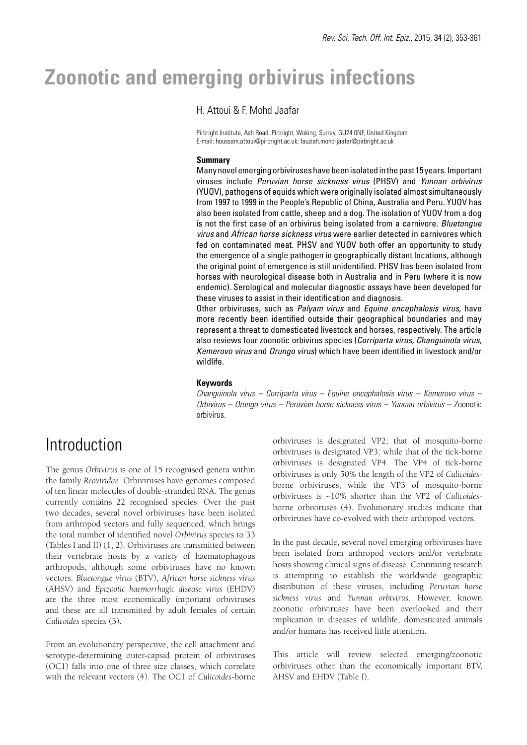# **Zoonotic and emerging orbivirus infections**

## H. Attoui & F. Mohd Jaafar

Pirbright Institute, Ash Road, Pirbright, Woking, Surrey, GU24 0NF, United Kingdom E-mail: houssam.attoui@pirbright.ac.uk; fauziah.mohd-jaafar@pirbright.ac.uk

#### **Summary**

Many novel emerging orbiviruses have been isolated in the past 15 years. Important viruses include *Peruvian horse sickness virus* (PHSV) and *Yunnan orbivirus* (YUOV), pathogens of equids which were originally isolated almost simultaneously from 1997 to 1999 in the People's Republic of China, Australia and Peru. YUOV has also been isolated from cattle, sheep and a dog. The isolation of YUOV from a dog is not the first case of an orbivirus being isolated from a carnivore. *Bluetongue virus* and *African horse sickness virus* were earlier detected in carnivores which fed on contaminated meat. PHSV and YUOV both offer an opportunity to study the emergence of a single pathogen in geographically distant locations, although the original point of emergence is still unidentified. PHSV has been isolated from horses with neurological disease both in Australia and in Peru (where it is now endemic). Serological and molecular diagnostic assays have been developed for these viruses to assist in their identification and diagnosis.

Other orbiviruses, such as *Palyam virus* and *Equine encephalosis virus*, have more recently been identified outside their geographical boundaries and may represent a threat to domesticated livestock and horses, respectively. The article also reviews four zoonotic orbivirus species (*Corriparta virus, Changuinola virus, Kemerovo virus* and *Orungo virus*) which have been identified in livestock and/or wildlife.

### **Keywords**

*Changuinola virus – Corriparta virus – Equine encephalosis virus – Kemerovo virus – Orbivirus – Orungo virus – Peruvian horse sickness virus – Yunnan orbivirus* – Zoonotic orbivirus.

## Introduction

The genus *Orbivirus* is one of 15 recognised genera within the family *Reoviridae*. Orbiviruses have genomes composed of ten linear molecules of double-stranded RNA. The genus currently contains 22 recognised species. Over the past two decades, several novel orbiviruses have been isolated from arthropod vectors and fully sequenced, which brings the total number of identified novel *Orbivirus* species to 33 (Tables I and II) (1, 2). Orbiviruses are transmitted between their vertebrate hosts by a variety of haematophagous arthropods, although some orbiviruses have no known vectors. *Bluetongue virus* (BTV), *African horse sickness virus*  (AHSV) and *Epizootic haemorrhagic disease virus* (EHDV) are the three most economically important orbiviruses and these are all transmitted by adult females of certain *Culicoides* species (3).

From an evolutionary perspective, the cell attachment and serotype-determining outer-capsid protein of orbiviruses (OC1) falls into one of three size classes, which correlate with the relevant vectors (4). The OC1 of *Culicoides*-borne

orbiviruses is designated VP2; that of mosquito-borne orbiviruses is designated VP3; while that of the tick-borne orbiviruses is designated VP4. The VP4 of tick-borne orbiviruses is only 50% the length of the VP2 of *Culicoides*borne orbiviruses, while the VP3 of mosquito-borne orbiviruses is ~10% shorter than the VP2 of *Culicoides*borne orbiviruses (4). Evolutionary studies indicate that orbiviruses have co-evolved with their arthropod vectors.

In the past decade, several novel emerging orbiviruses have been isolated from arthropod vectors and/or vertebrate hosts showing clinical signs of disease. Continuing research is attempting to establish the worldwide geographic distribution of these viruses, including *Peruvian horse sickness virus* and *Yunnan orbivirus*. However, known zoonotic orbiviruses have been overlooked and their implication in diseases of wildlife, domesticated animals and/or humans has received little attention.

This article will review selected emerging/zoonotic orbiviruses other than the economically important BTV, AHSV and EHDV (Table I).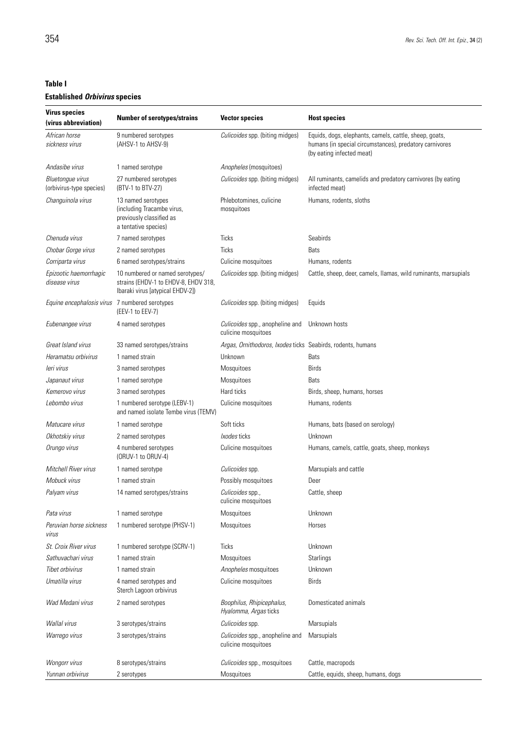## **Table I**

### **Established** *Orbivirus* **species**

| <b>Virus species</b><br>(virus abbreviation) | <b>Number of serotypes/strains</b>                                                                          | <b>Vector species</b>                                       | <b>Host species</b>                                                                                                                            |  |  |
|----------------------------------------------|-------------------------------------------------------------------------------------------------------------|-------------------------------------------------------------|------------------------------------------------------------------------------------------------------------------------------------------------|--|--|
| African horse<br>sickness virus              | 9 numbered serotypes<br>(AHSV-1 to AHSV-9)                                                                  | Culicoides spp. (biting midges)                             | Equids, dogs, elephants, camels, cattle, sheep, goats,<br>humans (in special circumstances), predatory carnivores<br>(by eating infected meat) |  |  |
| Andasibe virus                               | 1 named serotype                                                                                            | Anopheles (mosquitoes)                                      |                                                                                                                                                |  |  |
| Bluetongue virus<br>(orbivirus-type species) | 27 numbered serotypes<br>(BTV-1 to BTV-27)                                                                  | Culicoides spp. (biting midges)                             | All ruminants, camelids and predatory carnivores (by eating<br>infected meat)                                                                  |  |  |
| Changuinola virus                            | 13 named serotypes<br>(including Tracambe virus,<br>previously classified as<br>a tentative species)        | Phlebotomines, culicine<br>mosquitoes                       | Humans, rodents, sloths                                                                                                                        |  |  |
| Chenuda virus                                | 7 named serotypes                                                                                           | <b>Ticks</b>                                                | Seabirds                                                                                                                                       |  |  |
| Chobar Gorge virus                           | 2 named serotypes                                                                                           | <b>Ticks</b>                                                | Bats                                                                                                                                           |  |  |
| Corriparta virus                             | 6 named serotypes/strains                                                                                   | Culicine mosquitoes                                         | Humans, rodents                                                                                                                                |  |  |
| Epizootic haemorrhagic<br>disease virus      | 10 numbered or named serotypes/<br>strains (EHDV-1 to EHDV-8, EHDV 318,<br>Ibaraki virus [atypical EHDV-2]) | Culicoides spp. (biting midges)                             | Cattle, sheep, deer, camels, llamas, wild ruminants, marsupials                                                                                |  |  |
| Equine encephalosis virus                    | 7 numbered serotypes<br>(EEV-1 to EEV-7)                                                                    | Culicoides spp. (biting midges)                             | Equids                                                                                                                                         |  |  |
| Eubenangee virus                             | 4 named serotypes                                                                                           | Culicoides spp., anopheline and<br>culicine mosquitoes      | Unknown hosts                                                                                                                                  |  |  |
| Great Island virus                           | 33 named serotypes/strains                                                                                  | Argas, Ornithodoros, Ixodes ticks Seabirds, rodents, humans |                                                                                                                                                |  |  |
| Heramatsu orbivirus                          | 1 named strain                                                                                              | Unknown                                                     | Bats                                                                                                                                           |  |  |
| leri virus                                   | 3 named serotypes                                                                                           | Mosquitoes                                                  | <b>Birds</b>                                                                                                                                   |  |  |
| Japanaut virus                               | 1 named serotype                                                                                            | Mosquitoes                                                  | <b>Bats</b>                                                                                                                                    |  |  |
| Kemerovo virus                               | 3 named serotypes                                                                                           | Hard ticks                                                  | Birds, sheep, humans, horses                                                                                                                   |  |  |
| Lebombo virus                                | 1 numbered serotype (LEBV-1)<br>and named isolate Tembe virus (TEMV)                                        | Culicine mosquitoes                                         | Humans, rodents                                                                                                                                |  |  |
| Matucare virus                               | 1 named serotype                                                                                            | Soft ticks                                                  | Humans, bats (based on serology)                                                                                                               |  |  |
| Okhotskiy virus                              | 2 named serotypes                                                                                           | <i>kodes</i> ticks                                          | Unknown                                                                                                                                        |  |  |
| Orungo virus                                 | 4 numbered serotypes<br>(ORUV-1 to ORUV-4)                                                                  | Culicine mosquitoes                                         | Humans, camels, cattle, goats, sheep, monkeys                                                                                                  |  |  |
| Mitchell River virus                         | 1 named serotype                                                                                            | Culicoides spp.                                             | Marsupials and cattle                                                                                                                          |  |  |
| Mobuck virus                                 | 1 named strain                                                                                              | Possibly mosquitoes                                         | Deer                                                                                                                                           |  |  |
| Palyam virus                                 | 14 named serotypes/strains                                                                                  | Culicoides spp.,<br>culicine mosquitoes                     | Cattle, sheep                                                                                                                                  |  |  |
| Pata virus                                   | 1 named serotype                                                                                            | Mosquitoes                                                  | Unknown                                                                                                                                        |  |  |
| Peruvian horse sickness<br>virus             | 1 numbered serotype (PHSV-1)                                                                                | Mosquitoes                                                  | Horses                                                                                                                                         |  |  |
| St. Croix River virus                        | 1 numbered serotype (SCRV-1)                                                                                | Ticks                                                       | Unknown                                                                                                                                        |  |  |
| Sathuvachari virus                           | 1 named strain                                                                                              | Mosquitoes                                                  | <b>Starlings</b>                                                                                                                               |  |  |
| Tibet orbivirus                              | 1 named strain                                                                                              | Anopheles mosquitoes                                        | Unknown                                                                                                                                        |  |  |
| Umatilla virus                               | 4 named serotypes and<br>Sterch Lagoon orbivirus                                                            | Culicine mosquitoes                                         | <b>Birds</b>                                                                                                                                   |  |  |
| Wad Medani virus                             | 2 named serotypes                                                                                           | Boophilus, Rhipicephalus,<br>Hyalomma, Argas ticks          | Domesticated animals                                                                                                                           |  |  |
| Wallal virus                                 | 3 serotypes/strains                                                                                         | Culicoides spp.                                             | Marsupials                                                                                                                                     |  |  |
| Warrego virus                                | 3 serotypes/strains                                                                                         | Culicoides spp., anopheline and<br>culicine mosquitoes      | Marsupials                                                                                                                                     |  |  |
| Wongorr virus                                | 8 serotypes/strains                                                                                         | Culicoides spp., mosquitoes                                 | Cattle, macropods                                                                                                                              |  |  |
| Yunnan orbivirus                             | 2 serotypes                                                                                                 | Mosquitoes                                                  | Cattle, equids, sheep, humans, dogs                                                                                                            |  |  |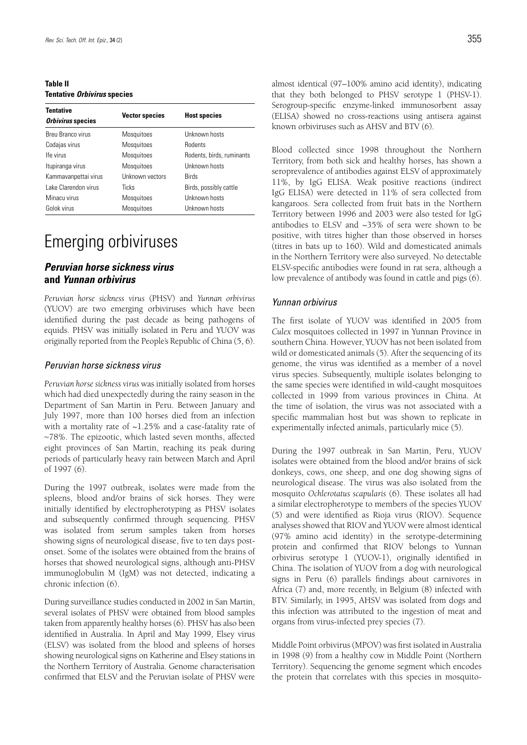**Table II Tentative** *Orbivirus* **species**

| <b>Tentative</b><br>Orbivirus species | <b>Vector species</b> | <b>Host species</b>       |  |
|---------------------------------------|-----------------------|---------------------------|--|
| Breu Branco virus                     | <b>Mosquitoes</b>     | Unknown hosts             |  |
| Codajas virus                         | <b>Mosquitoes</b>     | Rodents                   |  |
| Ife virus                             | <b>Mosquitoes</b>     | Rodents, birds, ruminants |  |
| Itupiranga virus                      | <b>Mosquitoes</b>     | Unknown hosts             |  |
| Kammavanpettai virus                  | Unknown vectors       | <b>Birds</b>              |  |
| Lake Clarendon virus                  | <b>Ticks</b>          | Birds, possibly cattle    |  |
| Minacu virus                          | <b>Mosquitoes</b>     | Unknown hosts             |  |
| Golok virus                           | <b>Mosquitoes</b>     | Unknown hosts             |  |

## Emerging orbiviruses

## *Peruvian horse sickness virus* **and** *Yunnan orbivirus*

*Peruvian horse sickness virus* (PHSV) and *Yunnan orbivirus* (YUOV) are two emerging orbiviruses which have been identified during the past decade as being pathogens of equids. PHSV was initially isolated in Peru and YUOV was originally reported from the People's Republic of China (5, 6).

#### *Peruvian horse sickness virus*

*Peruvian horse sickness virus* was initially isolated from horses which had died unexpectedly during the rainy season in the Department of San Martin in Peru. Between January and July 1997, more than 100 horses died from an infection with a mortality rate of  $\sim$ 1.25% and a case-fatality rate of ~78%. The epizootic, which lasted seven months, affected eight provinces of San Martin, reaching its peak during periods of particularly heavy rain between March and April of 1997 (6).

During the 1997 outbreak, isolates were made from the spleens, blood and/or brains of sick horses. They were initially identified by electropherotyping as PHSV isolates and subsequently confirmed through sequencing. PHSV was isolated from serum samples taken from horses showing signs of neurological disease, five to ten days postonset. Some of the isolates were obtained from the brains of horses that showed neurological signs, although anti-PHSV immunoglobulin M (IgM) was not detected, indicating a chronic infection (6).

During surveillance studies conducted in 2002 in San Martin, several isolates of PHSV were obtained from blood samples taken from apparently healthy horses (6). PHSV has also been identified in Australia. In April and May 1999, Elsey virus (ELSV) was isolated from the blood and spleens of horses showing neurological signs on Katherine and Elsey stations in the Northern Territory of Australia. Genome characterisation confirmed that ELSV and the Peruvian isolate of PHSV were

almost identical (97–100% amino acid identity), indicating that they both belonged to PHSV serotype 1 (PHSV-1). Serogroup-specific enzyme-linked immunosorbent assay (ELISA) showed no cross-reactions using antisera against known orbiviruses such as AHSV and BTV (6).

Blood collected since 1998 throughout the Northern Territory, from both sick and healthy horses, has shown a seroprevalence of antibodies against ELSV of approximately 11%, by IgG ELISA. Weak positive reactions (indirect IgG ELISA) were detected in 11% of sera collected from kangaroos. Sera collected from fruit bats in the Northern Territory between 1996 and 2003 were also tested for IgG antibodies to ELSV and ~35% of sera were shown to be positive, with titres higher than those observed in horses (titres in bats up to 160). Wild and domesticated animals in the Northern Territory were also surveyed. No detectable ELSV-specific antibodies were found in rat sera, although a low prevalence of antibody was found in cattle and pigs (6).

#### *Yunnan orbivirus*

The first isolate of YUOV was identified in 2005 from *Culex* mosquitoes collected in 1997 in Yunnan Province in southern China. However, YUOV has not been isolated from wild or domesticated animals (5). After the sequencing of its genome, the virus was identified as a member of a novel virus species. Subsequently, multiple isolates belonging to the same species were identified in wild-caught mosquitoes collected in 1999 from various provinces in China. At the time of isolation, the virus was not associated with a specific mammalian host but was shown to replicate in experimentally infected animals, particularly mice (5).

During the 1997 outbreak in San Martin, Peru, YUOV isolates were obtained from the blood and/or brains of sick donkeys, cows, one sheep, and one dog showing signs of neurological disease. The virus was also isolated from the mosquito *Ochlerotatus scapularis* (6). These isolates all had a similar electropherotype to members of the species YUOV (5) and were identified as Rioja virus (RIOV). Sequence analyses showed that RIOV and YUOV were almost identical (97% amino acid identity) in the serotype-determining protein and confirmed that RIOV belongs to Yunnan orbivirus serotype 1 (YUOV-1), originally identified in China. The isolation of YUOV from a dog with neurological signs in Peru (6) parallels findings about carnivores in Africa (7) and, more recently, in Belgium (8) infected with BTV. Similarly, in 1995, AHSV was isolated from dogs and this infection was attributed to the ingestion of meat and organs from virus-infected prey species (7).

Middle Point orbivirus (MPOV) was first isolated in Australia in 1998 (9) from a healthy cow in Middle Point (Northern Territory). Sequencing the genome segment which encodes the protein that correlates with this species in mosquito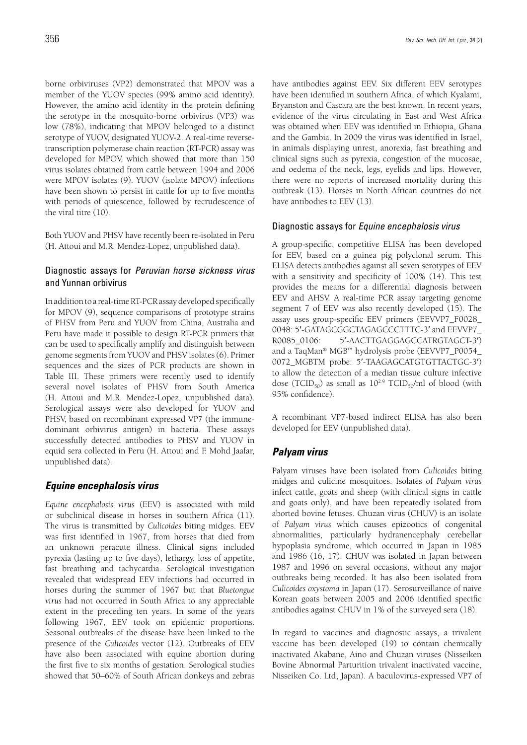borne orbiviruses (VP2) demonstrated that MPOV was a member of the YUOV species (99% amino acid identity). However, the amino acid identity in the protein defining the serotype in the mosquito-borne orbivirus (VP3) was low (78%), indicating that MPOV belonged to a distinct serotype of YUOV, designated YUOV-2. A real-time reversetranscription polymerase chain reaction (RT-PCR) assay was developed for MPOV, which showed that more than 150 virus isolates obtained from cattle between 1994 and 2006 were MPOV isolates (9). YUOV (isolate MPOV) infections have been shown to persist in cattle for up to five months with periods of quiescence, followed by recrudescence of the viral titre (10).

Both YUOV and PHSV have recently been re-isolated in Peru (H. Attoui and M.R. Mendez-Lopez, unpublished data).

### Diagnostic assays for *Peruvian horse sickness virus*  and Yunnan orbivirus

In addition to a real-time RT-PCR assay developed specifically for MPOV (9), sequence comparisons of prototype strains of PHSV from Peru and YUOV from China, Australia and Peru have made it possible to design RT-PCR primers that can be used to specifically amplify and distinguish between genome segments from YUOV and PHSV isolates (6). Primer sequences and the sizes of PCR products are shown in Table III. These primers were recently used to identify several novel isolates of PHSV from South America (H. Attoui and M.R. Mendez-Lopez, unpublished data). Serological assays were also developed for YUOV and PHSV, based on recombinant expressed VP7 (the immunedominant orbivirus antigen) in bacteria. These assays successfully detected antibodies to PHSV and YUOV in equid sera collected in Peru (H. Attoui and F. Mohd Jaafar, unpublished data).

## *Equine encephalosis virus*

*Equine encephalosis virus* (EEV) is associated with mild or subclinical disease in horses in southern Africa (11). The virus is transmitted by *Culicoides* biting midges. EEV was first identified in 1967, from horses that died from an unknown peracute illness. Clinical signs included pyrexia (lasting up to five days), lethargy, loss of appetite, fast breathing and tachycardia. Serological investigation revealed that widespread EEV infections had occurred in horses during the summer of 1967 but that *Bluetongue virus* had not occurred in South Africa to any appreciable extent in the preceding ten years. In some of the years following 1967, EEV took on epidemic proportions. Seasonal outbreaks of the disease have been linked to the presence of the *Culicoides* vector (12). Outbreaks of EEV have also been associated with equine abortion during the first five to six months of gestation. Serological studies showed that 50–60% of South African donkeys and zebras

have antibodies against EEV. Six different EEV serotypes have been identified in southern Africa, of which Kyalami, Bryanston and Cascara are the best known. In recent years, evidence of the virus circulating in East and West Africa was obtained when EEV was identified in Ethiopia, Ghana and the Gambia. In 2009 the virus was identified in Israel, in animals displaying unrest, anorexia, fast breathing and clinical signs such as pyrexia, congestion of the mucosae, and oedema of the neck, legs, eyelids and lips. However, there were no reports of increased mortality during this outbreak (13). Horses in North African countries do not have antibodies to EEV (13).

#### Diagnostic assays for *Equine encephalosis virus*

A group-specific, competitive ELISA has been developed for EEV, based on a guinea pig polyclonal serum. This ELISA detects antibodies against all seven serotypes of EEV with a sensitivity and specificity of 100% (14). This test provides the means for a differential diagnosis between EEV and AHSV. A real-time PCR assay targeting genome segment 7 of EEV was also recently developed (15). The assay uses group-specific EEV primers (EEVVP7\_F0028\_ 0048: 5'-GATAGCGGCTAGAGCCCTTTC-3' and EEVVP7 R0085\_0106: 5′-AACTTGAGGAGCCATRGTAGCT-3′) and a TaqMan® MGB™ hydrolysis probe (EEVVP7\_P0054\_ 0072\_MGBTM probe: 5′-TAAGAGCATGTGTTACTGC-3′) to allow the detection of a median tissue culture infective dose (TCID<sub>50</sub>) as small as  $10^{2.9}$  TCID<sub>50</sub>/ml of blood (with 95% confidence).

A recombinant VP7-based indirect ELISA has also been developed for EEV (unpublished data).

## *Palyam virus*

Palyam viruses have been isolated from *Culicoides* biting midges and culicine mosquitoes. Isolates of *Palyam virus* infect cattle, goats and sheep (with clinical signs in cattle and goats only), and have been repeatedly isolated from aborted bovine fetuses. Chuzan virus (CHUV) is an isolate of *Palyam virus* which causes epizootics of congenital abnormalities, particularly hydranencephaly cerebellar hypoplasia syndrome, which occurred in Japan in 1985 and 1986 (16, 17). CHUV was isolated in Japan between 1987 and 1996 on several occasions, without any major outbreaks being recorded. It has also been isolated from *Culicoides oxystoma* in Japan (17). Serosurveillance of naive Korean goats between 2005 and 2006 identified specific antibodies against CHUV in 1% of the surveyed sera (18).

In regard to vaccines and diagnostic assays, a trivalent vaccine has been developed (19) to contain chemically inactivated Akabane, Aino and Chuzan viruses (Nisseiken Bovine Abnormal Parturition trivalent inactivated vaccine, Nisseiken Co. Ltd, Japan). A baculovirus-expressed VP7 of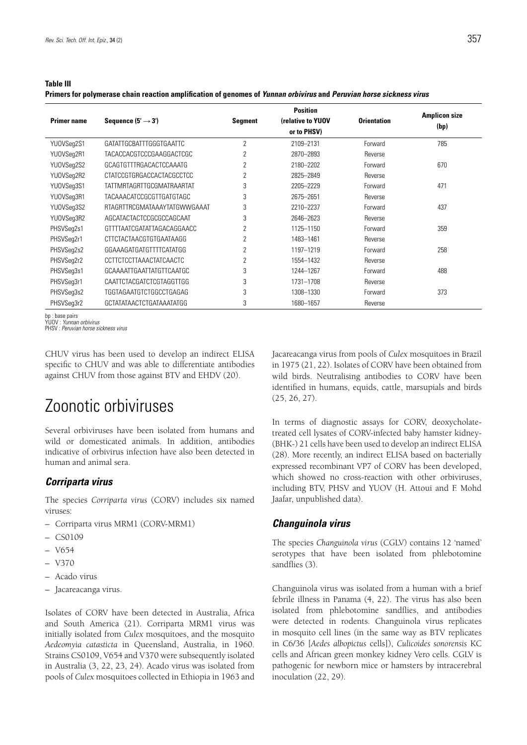#### **Table III**

**Primers for polymerase chain reaction amplification of genomes of** *Yunnan orbivirus* **and** *Peruvian horse sickness virus*

| <b>Primer name</b> | Sequence $(5' \rightarrow 3')$ | <b>Segment</b> | <b>Position</b><br>(relative to YUOV<br>or to PHSV) | <b>Orientation</b> | <b>Amplicon size</b><br>(bp) |
|--------------------|--------------------------------|----------------|-----------------------------------------------------|--------------------|------------------------------|
| YU0VSeg2S1         | GATATTGCBATTTGGGTGAATTC        | 2              | 2109-2131                                           | Forward            | 785                          |
| YU0VSeg2R1         | TACACCACGTCCCGAAGGACTCGC       | 2              | 2870-2893                                           | Reverse            |                              |
| YU0VSeg2S2         | GCAGTGTTTRGACACTCCAAATG        | 2              | 2180-2202                                           | Forward            | 670                          |
| YU0VSeg2R2         | CTATCCGTGRGACCACTACGCCTCC      | $\overline{2}$ | 2825-2849                                           | Reverse            |                              |
| YU0VSeg3S1         | TATTMRTAGRTTGCGMATRAARTAT      | 3              | 2205-2229                                           | Forward            | 471                          |
| YU0VSeg3R1         | TACAAACATCCGCGTTGATGTAGC       | 3              | 2675-2651                                           | Reverse            |                              |
| YU0VSeg3S2         | RTAGRTTRCGMATAAAYTATGWWGAAAT   | 3              | 2210-2237                                           | Forward            | 437                          |
| YU0VSeq3R2         | AGCATACTACTCCGCGCCAGCAAT       | 3              | 2646-2623                                           | Reverse            |                              |
| PHSVSeg2s1         | GTTTTAATCGATATTAGACAGGAACC     | $\overline{2}$ | 1125-1150                                           | Forward            | 359                          |
| PHSVSeg2r1         | CTTCTACTAACGTGTGAATAAGG        | $\overline{2}$ | 1483-1461                                           | Reverse            |                              |
| PHSVSeg2s2         | GGAAAGATGATGTTTTCATATGG        | $\overline{2}$ | 1197-1219                                           | Forward            | 258                          |
| PHSVSeg2r2         | <b>CCTTCTCCTTAAACTATCAACTC</b> | 2              | 1554-1432                                           | Reverse            |                              |
| PHSVSeq3s1         | GCAAAATTGAATTATGTTCAATGC       | 3              | 1244-1267                                           | Forward            | 488                          |
| PHSVSeg3r1         | CAATTCTACGATCTCGTAGGTTGG       | 3              | 1731-1708                                           | Reverse            |                              |
| PHSVSeg3s2         | TGGTAGAATGTCTGGCCTGAGAG        | 3              | 1308-1330                                           | Forward            | 373                          |
| PHSVSeg3r2         | GCTATATAACTCTGATAAATATGG       | 3              | 1680-1657                                           | Reverse            |                              |

bp : base pairs YUOV : *Yunnan orbivirus*

PHSV : *Peruvian horse sickness virus*

CHUV virus has been used to develop an indirect ELISA specific to CHUV and was able to differentiate antibodies against CHUV from those against BTV and EHDV (20).

## Zoonotic orbiviruses

Several orbiviruses have been isolated from humans and wild or domesticated animals. In addition, antibodies indicative of orbivirus infection have also been detected in human and animal sera.

#### *Corriparta virus*

The species *Corriparta virus* (CORV) includes six named viruses:

- Corriparta virus MRM1 (CORV-MRM1)
- CS0109
- V654
- V370
- Acado virus
- Jacareacanga virus.

Isolates of CORV have been detected in Australia, Africa and South America (21). Corriparta MRM1 virus was initially isolated from *Culex* mosquitoes, and the mosquito *Aedeomyia catasticta* in Queensland, Australia, in 1960. Strains CS0109, V654 and V370 were subsequently isolated in Australia (3, 22, 23, 24). Acado virus was isolated from pools of *Culex* mosquitoes collected in Ethiopia in 1963 and Jacareacanga virus from pools of *Culex* mosquitoes in Brazil in 1975 (21, 22). Isolates of CORV have been obtained from wild birds. Neutralising antibodies to CORV have been identified in humans, equids, cattle, marsupials and birds (25, 26, 27).

In terms of diagnostic assays for CORV, deoxycholatetreated cell lysates of CORV-infected baby hamster kidney- (BHK-) 21 cells have been used to develop an indirect ELISA (28). More recently, an indirect ELISA based on bacterially expressed recombinant VP7 of CORV has been developed, which showed no cross-reaction with other orbiviruses. including BTV, PHSV and YUOV (H. Attoui and F. Mohd Jaafar, unpublished data).

### *Changuinola virus*

The species *Changuinola virus* (CGLV) contains 12 'named' serotypes that have been isolated from phlebotomine sandflies (3).

Changuinola virus was isolated from a human with a brief febrile illness in Panama (4, 22). The virus has also been isolated from phlebotomine sandflies, and antibodies were detected in rodents. Changuinola virus replicates in mosquito cell lines (in the same way as BTV replicates in C6/36 [*Aedes albopictus* cells]), *Culicoides sonorensis* KC cells and African green monkey kidney Vero cells. CGLV is pathogenic for newborn mice or hamsters by intracerebral inoculation (22, 29).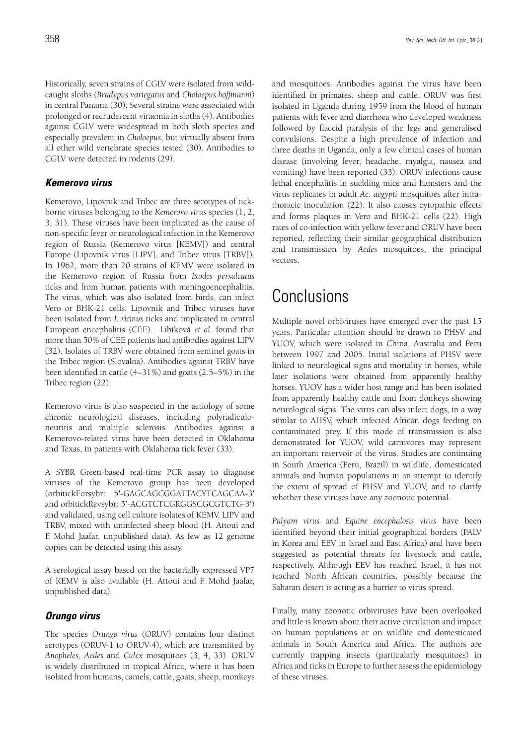Historically, seven strains of CGLV were isolated from wildcaught sloths (*Bradypus variegatus* and *Choloepus hoffmanni*) in central Panama (30). Several strains were associated with prolonged or recrudescent viraemia in sloths (4). Antibodies against CGLV were widespread in both sloth species and especially prevalent in *Choloepus*, but virtually absent from all other wild vertebrate species tested (30). Antibodies to CGLV were detected in rodents (29).

### *Kemerovo virus*

Kemerovo, Lipovnik and Tribec are three serotypes of tickborne viruses belonging to the *Kemerovo virus* species (1, 2, 3, 31). These viruses have been implicated as the cause of non-specific fever or neurological infection in the Kemerovo region of Russia (Kemerovo virus [KEMV]) and central Europe (Lipovnik virus [LIPV], and Tribec virus [TRBV]). In 1962, more than 20 strains of KEMV were isolated in the Kemerovo region of Russia from *Ixodes persulcatus* ticks and from human patients with meningoencephalitis. The virus, which was also isolated from birds, can infect Vero or BHK-21 cells. Lipovnik and Tribec viruses have been isolated from *I. ricinus* ticks and implicated in central European encephalitis (CEE). Libíková *et al.* found that more than 50% of CEE patients had antibodies against LIPV (32). Isolates of TRBV were obtained from sentinel goats in the Tribec region (Slovakia). Antibodies against TRBV have been identified in cattle (4–31%) and goats (2.5–5%) in the Tribec region (22).

Kemerovo virus is also suspected in the aetiology of some chronic neurological diseases, including polyradiculoneuritis and multiple sclerosis. Antibodies against a Kemerovo-related virus have been detected in Oklahoma and Texas, in patients with Oklahoma tick fever (33).

A SYBR Green-based real-time PCR assay to diagnose viruses of the Kemerovo group has been developed (orbitickForsybr: 5′-GAGCAGCGGATTACYTCAGCAA-3′ and orbitickRevsybr: 5′-ACGTCTCGRGGSCGCGTCTG-3′) and validated, using cell culture isolates of KEMV, LIPV and TRBV, mixed with uninfected sheep blood (H. Attoui and F. Mohd Jaafar, unpublished data). As few as 12 genome copies can be detected using this assay.

A serological assay based on the bacterially expressed VP7 of KEMV is also available (H. Attoui and F. Mohd Jaafar, unpublished data).

## *Orungo virus*

The species *Orungo virus* (ORUV) contains four distinct serotypes (ORUV-1 to ORUV-4), which are transmitted by *Anopheles*, *Aedes* and *Culex* mosquitoes (3, 4, 33). ORUV is widely distributed in tropical Africa, where it has been isolated from humans, camels, cattle, goats, sheep, monkeys and mosquitoes. Antibodies against the virus have been identified in primates, sheep and cattle. ORUV was first isolated in Uganda during 1959 from the blood of human patients with fever and diarrhoea who developed weakness followed by flaccid paralysis of the legs and generalised convulsions. Despite a high prevalence of infection and three deaths in Uganda, only a few clinical cases of human disease (involving fever, headache, myalgia, nausea and vomiting) have been reported (33). ORUV infections cause lethal encephalitis in suckling mice and hamsters and the virus replicates in adult *Ae. aegypti* mosquitoes after intrathoracic inoculation (22). It also causes cytopathic effects and forms plaques in Vero and BHK-21 cells (22). High rates of co-infection with yellow fever and ORUV have been reported, reflecting their similar geographical distribution and transmission by *Aedes* mosquitoes, the principal vectors.

## Conclusions

Multiple novel orbiviruses have emerged over the past 15 years. Particular attention should be drawn to PHSV and YUOV, which were isolated in China, Australia and Peru between 1997 and 2005. Initial isolations of PHSV were linked to neurological signs and mortality in horses, while later isolations were obtained from apparently healthy horses. YUOV has a wider host range and has been isolated from apparently healthy cattle and from donkeys showing neurological signs. The virus can also infect dogs, in a way similar to AHSV, which infected African dogs feeding on contaminated prey. If this mode of transmission is also demonstrated for YUOV, wild carnivores may represent an important reservoir of the virus. Studies are continuing in South America (Peru, Brazil) in wildlife, domesticated animals and human populations in an attempt to identify the extent of spread of PHSV and YUOV, and to clarify whether these viruses have any zoonotic potential.

*Palyam virus* and *Equine encephalosis virus* have been identified beyond their initial geographical borders (PALV in Korea and EEV in Israel and East Africa) and have been suggested as potential threats for livestock and cattle, respectively. Although EEV has reached Israel, it has not reached North African countries, possibly because the Saharan desert is acting as a barrier to virus spread.

Finally, many zoonotic orbiviruses have been overlooked and little is known about their active circulation and impact on human populations or on wildlife and domesticated animals in South America and Africa. The authors are currently trapping insects (particularly mosquitoes) in Africa and ticks in Europe to further assess the epidemiology of these viruses.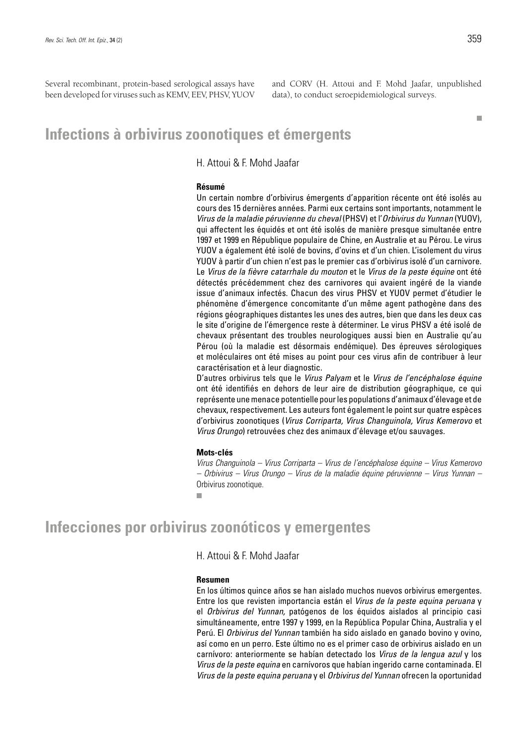Several recombinant, protein-based serological assays have been developed for viruses such as KEMV, EEV, PHSV, YUOV and CORV (H. Attoui and F. Mohd Jaafar, unpublished data), to conduct seroepidemiological surveys.

## **Infections à orbivirus zoonotiques et émergents**

H. Attoui & F. Mohd Jaafar

#### **Résumé**

Un certain nombre d'orbivirus émergents d'apparition récente ont été isolés au cours des 15 dernières années. Parmi eux certains sont importants, notamment le *Virus de la maladie péruvienne du cheval* (PHSV) et l'*Orbivirus du Yunnan* (YUOV), qui affectent les équidés et ont été isolés de manière presque simultanée entre 1997 et 1999 en République populaire de Chine, en Australie et au Pérou. Le virus YUOV a également été isolé de bovins, d'ovins et d'un chien. L'isolement du virus YUOV à partir d'un chien n'est pas le premier cas d'orbivirus isolé d'un carnivore. Le *Virus de la fièvre catarrhale du mouton* et le *Virus de la peste équine* ont été détectés précédemment chez des carnivores qui avaient ingéré de la viande issue d'animaux infectés. Chacun des virus PHSV et YUOV permet d'étudier le phénomène d'émergence concomitante d'un même agent pathogène dans des régions géographiques distantes les unes des autres, bien que dans les deux cas le site d'origine de l'émergence reste à déterminer. Le virus PHSV a été isolé de chevaux présentant des troubles neurologiques aussi bien en Australie qu'au Pérou (où la maladie est désormais endémique). Des épreuves sérologiques et moléculaires ont été mises au point pour ces virus afin de contribuer à leur caractérisation et à leur diagnostic.

D'autres orbivirus tels que le *Virus Palyam* et le *Virus de l'encéphalose équine*  ont été identifiés en dehors de leur aire de distribution géographique, ce qui représente une menace potentielle pour les populations d'animaux d'élevage et de chevaux, respectivement. Les auteurs font également le point sur quatre espèces d'orbivirus zoonotiques (*Virus Corriparta, Virus Changuinola, Virus Kemerovo* et *Virus Orungo*) retrouvées chez des animaux d'élevage et/ou sauvages.

#### **Mots-clés**

*Virus Changuinola – Virus Corriparta – Virus de l'encéphalose équine – Virus Kemerovo – Orbivirus – Virus Orungo – Virus de la maladie équine péruvienne – Virus Yunnan –*  Orbivirus zoonotique.

ш

## **Infecciones por orbivirus zoonóticos y emergentes**

H. Attoui & F. Mohd Jaafar

#### **Resumen**

En los últimos quince años se han aislado muchos nuevos orbivirus emergentes. Entre los que revisten importancia están el *Virus de la peste equina peruana* y el *Orbivirus del Yunnan,* patógenos de los équidos aislados al principio casi simultáneamente, entre 1997 y 1999, en la República Popular China, Australia y el Perú. El *Orbivirus del Yunnan* también ha sido aislado en ganado bovino y ovino, así como en un perro. Este último no es el primer caso de orbivirus aislado en un carnívoro: anteriormente se habían detectado los *Virus de la lengua azul* y los *Virus de la peste equina* en carnívoros que habían ingerido carne contaminada. El *Virus de la peste equina peruana* y el *Orbivirus del Yunnan* ofrecen la oportunidad

**The State**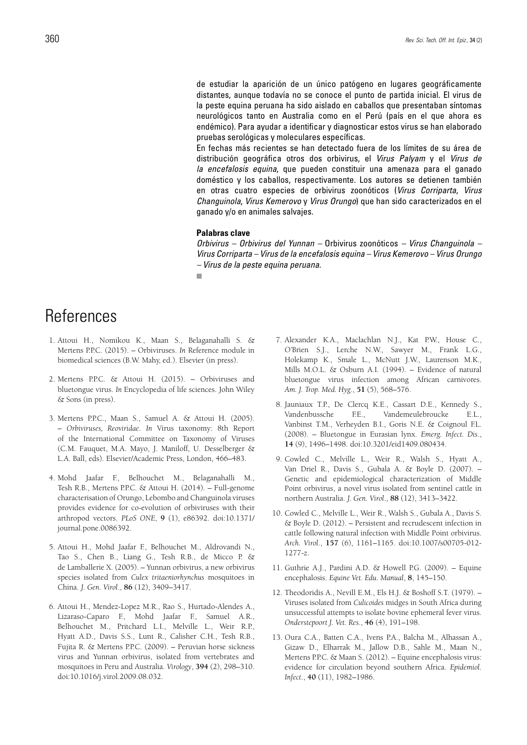de estudiar la aparición de un único patógeno en lugares geográficamente distantes, aunque todavía no se conoce el punto de partida inicial. El virus de la peste equina peruana ha sido aislado en caballos que presentaban síntomas neurológicos tanto en Australia como en el Perú (país en el que ahora es endémico). Para ayudar a identificar y diagnosticar estos virus se han elaborado pruebas serológicas y moleculares específicas.

En fechas más recientes se han detectado fuera de los límites de su área de distribución geográfica otros dos orbivirus, el *Virus Palyam* y el *Virus de la encefalosis equina*, que pueden constituir una amenaza para el ganado doméstico y los caballos, respectivamente. Los autores se detienen también en otras cuatro especies de orbivirus zoonóticos (*Virus Corriparta*, *Virus Changuinola*, *Virus Kemerovo* y *Virus Orungo*) que han sido caracterizados en el ganado y/o en animales salvajes.

#### **Palabras clave**

*Orbivirus – Orbivirus del Yunnan –* Orbivirus zoonóticos *– Virus Changuinola – Virus Corriparta – Virus de la encefalosis equina – Virus Kemerovo – Virus Orungo – Virus de la peste equina peruana.* m.

## **References**

- 1. Attoui H., Nomikou K., Maan S., Belaganahalli S. & Mertens P.P.C. (2015). – Orbiviruses. *In* Reference module in biomedical sciences (B.W. Mahy, ed.). Elsevier (in press).
- 2. Mertens P.P.C. & Attoui H. (2015). Orbiviruses and bluetongue virus. *In* Encyclopedia of life sciences. John Wiley & Sons (in press).
- 3. Mertens P.P.C., Maan S., Samuel A. & Attoui H. (2005). – *Orbiviruses, Reoviridae*. *In* Virus taxonomy: 8th Report of the International Committee on Taxonomy of Viruses (C.M. Fauquet, M.A. Mayo, J. Maniloff, U. Desselberger & L.A. Ball, eds). Elsevier/Academic Press, London, 466–483.
- 4. Mohd Jaafar F., Belhouchet M., Belaganahalli M., Tesh R.B., Mertens P.P.C. & Attoui H. (2014). – Full-genome characterisation of Orungo, Lebombo and Changuinola viruses provides evidence for co-evolution of orbiviruses with their arthropod vectors. *PLoS ONE*, **9** (1), e86392. doi:10.1371/ journal.pone.0086392.
- 5. Attoui H., Mohd Jaafar F., Belhouchet M., Aldrovandi N., Tao S., Chen B., Liang G., Tesh R.B., de Micco P. & de Lamballerie X. (2005). – Yunnan orbivirus, a new orbivirus species isolated from *Culex tritaeniorhynchus* mosquitoes in China. *J. Gen. Virol*., **86** (12), 3409–3417.
- 6. Attoui H., Mendez-Lopez M.R., Rao S., Hurtado-Alendes A., Lizaraso-Caparo F., Mohd Jaafar F., Samuel A.R., Belhouchet M., Pritchard L.I., Melville L., Weir R.P., Hyatt A.D., Davis S.S., Lunt R., Calisher C.H., Tesh R.B., Fujita R. & Mertens P.P.C. (2009). – Peruvian horse sickness virus and Yunnan orbivirus, isolated from vertebrates and mosquitoes in Peru and Australia. *Virology*, **394** (2), 298–310. doi:10.1016/j.virol.2009.08.032.
- 7. Alexander K.A., Maclachlan N.J., Kat P.W., House C., O'Brien S.J., Lerche N.W., Sawyer M., Frank L.G., Holekamp K., Smale L., McNutt J.W., Laurenson M.K., Mills M.O.L. & Osburn A.I. (1994). – Evidence of natural bluetongue virus infection among African carnivores. *Am. J. Trop. Med. Hyg*., **51** (5), 568–576.
- 8. Jauniaux T.P., De Clercq K.E., Cassart D.E., Kennedy S., Vandenbussche F.E., Vandemeulebroucke E.L., Vanbinst T.M., Verheyden B.I., Goris N.E. & Coignoul F.L. (2008). – Bluetongue in Eurasian lynx. *Emerg. Infect. Dis*., **14** (9), 1496–1498. doi:10.3201/eid1409.080434.
- 9. Cowled C., Melville L., Weir R., Walsh S., Hyatt A., Van Driel R., Davis S., Gubala A. & Boyle D. (2007). – Genetic and epidemiological characterization of Middle Point orbivirus, a novel virus isolated from sentinel cattle in northern Australia. *J. Gen. Virol*., **88** (12), 3413–3422.
- 10. Cowled C., Melville L., Weir R., Walsh S., Gubala A., Davis S. & Boyle D. (2012). – Persistent and recrudescent infection in cattle following natural infection with Middle Point orbivirus. *Arch. Virol*., **157** (6), 1161–1165. doi:10.1007/s00705-012- 1277-z.
- 11. Guthrie A.J., Pardini A.D. & Howell P.G. (2009). Equine encephalosis. *Equine Vet. Edu. Manual*, **8**, 145–150.
- 12. Theodoridis A., Nevill E.M., Els H.J. & Boshoff S.T. (1979). Viruses isolated from *Culicoides* midges in South Africa during unsuccessful attempts to isolate bovine ephemeral fever virus. *Onderstepoort J. Vet. Res*., **46** (4), 191–198.
- 13. Oura C.A., Batten C.A., Ivens P.A., Balcha M., Alhassan A., Gizaw D., Elharrak M., Jallow D.B., Sahle M., Maan N., Mertens P.P.C. & Maan S. (2012). – Equine encephalosis virus: evidence for circulation beyond southern Africa. *Epidemiol. Infect*., **40** (11), 1982–1986.